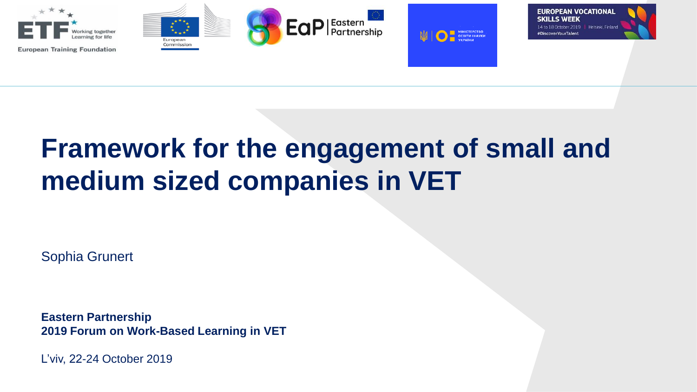

# **Framework for the engagement of small and medium sized companies in VET**

Sophia Grunert

**Eastern Partnership 2019 Forum on Work-Based Learning in VET**

L'viv, 22-24 October 2019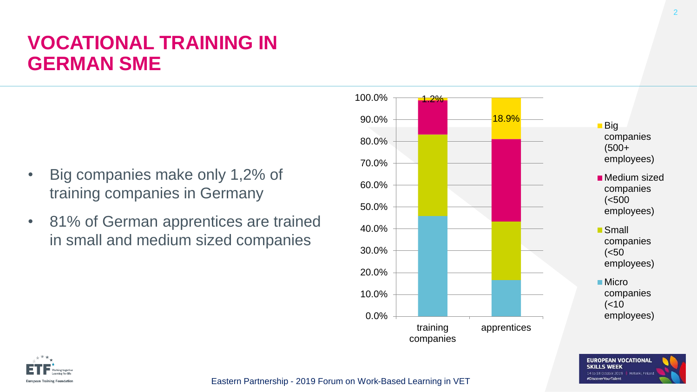## **VOCATIONAL TRAINING IN GERMAN SME**

- Big companies make only 1,2% of training companies in Germany
- 81% of German apprentices are trained in small and medium sized companies





Eastern Partnership - 2019 Forum on Work-Based Learning in VET

**EUROPEAN VOCATIONAL SKILLS WEEK** 14 to 18 October 2019 | Helsinki, Finland #DiscoverYourTalent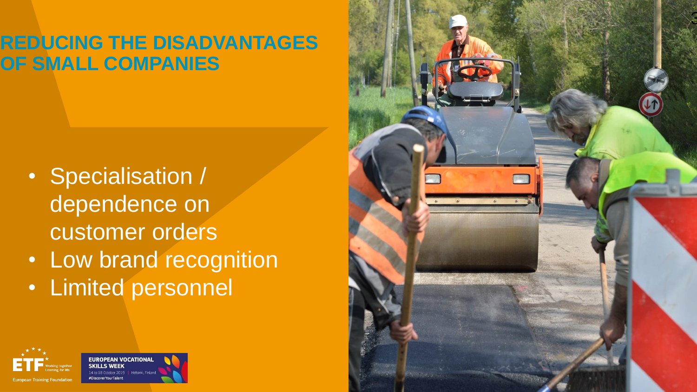# **REDUCING THE DISADVANTAGES OF SMALL COMPANIES**

- Specialisation / dependence on customer orders
- Low brand recognition
- Limited personnel



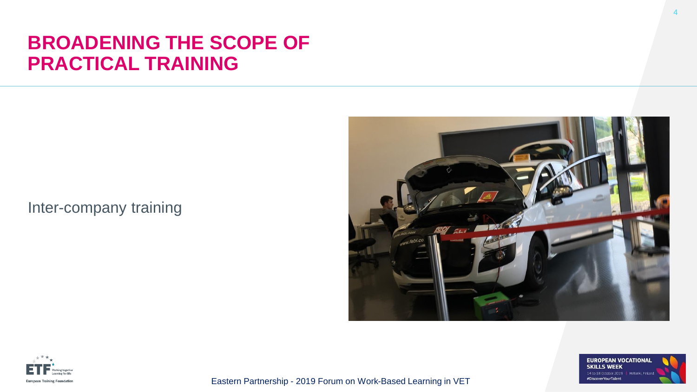#### **BROADENING THE SCOPE OF PRACTICAL TRAINING**

Inter-company training







Eastern Partnership - 2019 Forum on Work-Based Learning in VET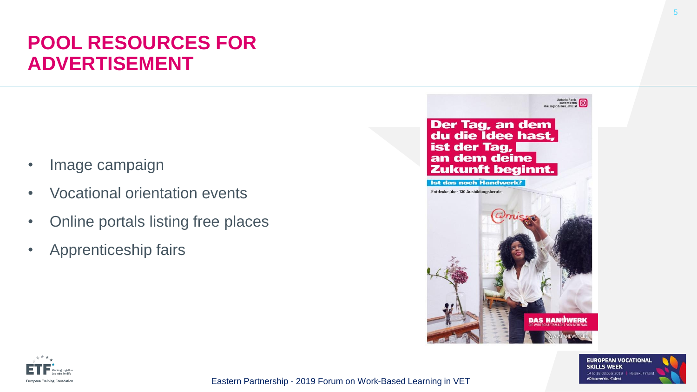# **POOL RESOURCES FOR ADVERTISEMENT**

- Image campaign
- Vocational orientation events
- Online portals listing free places
- Apprenticeship fairs





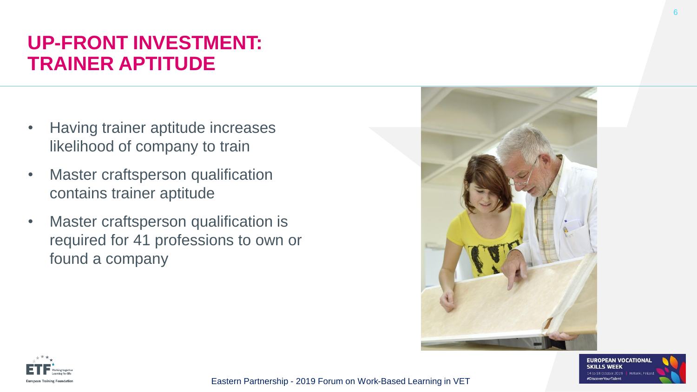# **UP-FRONT INVESTMENT: TRAINER APTITUDE**

- Having trainer aptitude increases likelihood of company to train
- Master craftsperson qualification contains trainer aptitude
- Master craftsperson qualification is required for 41 professions to own or found a company







Eastern Partnership - 2019 Forum on Work-Based Learning in VET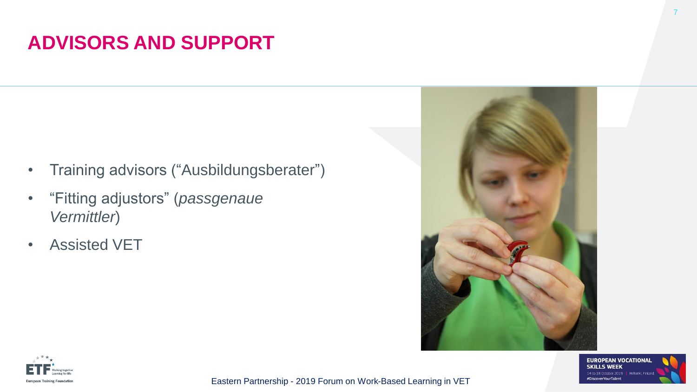## **ADVISORS AND SUPPORT**

- Training advisors ("Ausbildungsberater")
- "Fitting adjustors" (*passgenaue Vermittler*)
- Assisted VET





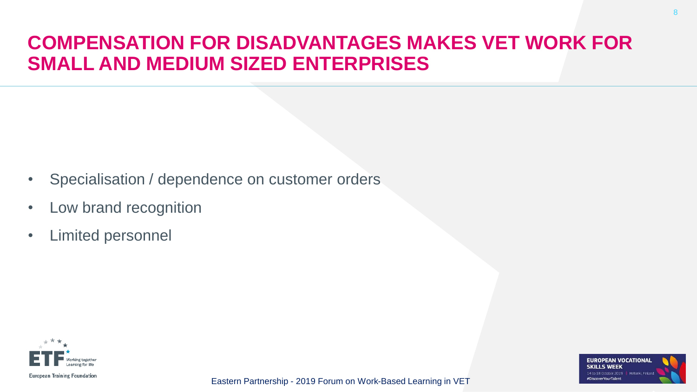# **COMPENSATION FOR DISADVANTAGES MAKES VET WORK FOR SMALL AND MEDIUM SIZED ENTERPRISES**

- Specialisation / dependence on customer orders
- Low brand recognition
- Limited personnel